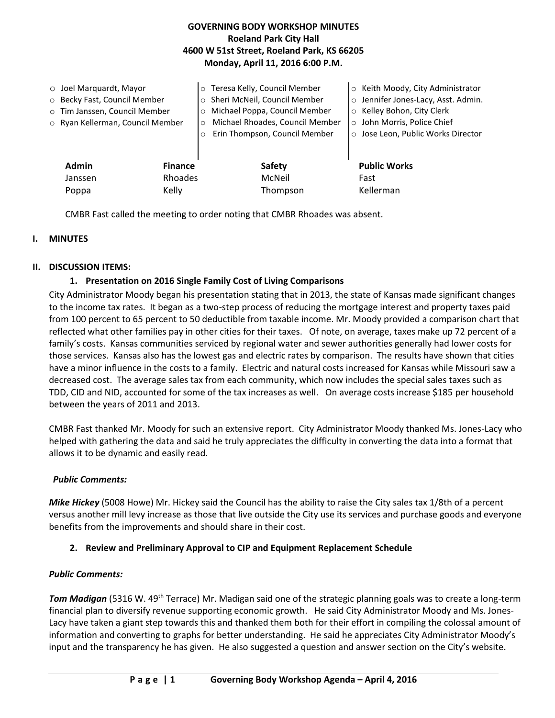# **GOVERNING BODY WORKSHOP MINUTES Roeland Park City Hall 4600 W 51st Street, Roeland Park, KS 66205 Monday, April 11, 2016 6:00 P.M.**

| $\circ$ Joel Marquardt, Mayor<br>O Becky Fast, Council Member<br>o Tim Janssen, Council Member<br>o Ryan Kellerman, Council Member |                           | Teresa Kelly, Council Member<br>$\circ$<br>Sheri McNeil, Council Member<br>$\Omega$<br>Michael Poppa, Council Member<br>$\circ$<br>Michael Rhoades, Council Member<br>$\circ$<br>Erin Thompson, Council Member<br>$\Omega$ | Keith Moody, City Administrator<br>o Jennifer Jones-Lacy, Asst. Admin.<br>○ Kelley Bohon, City Clerk<br>o John Morris, Police Chief<br>o Jose Leon, Public Works Director |
|------------------------------------------------------------------------------------------------------------------------------------|---------------------------|----------------------------------------------------------------------------------------------------------------------------------------------------------------------------------------------------------------------------|---------------------------------------------------------------------------------------------------------------------------------------------------------------------------|
| <b>Admin</b><br>Janssen                                                                                                            | <b>Finance</b><br>Rhoades | Safety<br>McNeil                                                                                                                                                                                                           | <b>Public Works</b><br>Fast                                                                                                                                               |
| Poppa                                                                                                                              | Kelly                     | Thompson                                                                                                                                                                                                                   | Kellerman                                                                                                                                                                 |

CMBR Fast called the meeting to order noting that CMBR Rhoades was absent.

# **I. MINUTES**

## **II. DISCUSSION ITEMS:**

## **1. Presentation on 2016 Single Family Cost of Living Comparisons**

City Administrator Moody began his presentation stating that in 2013, the state of Kansas made significant changes to the income tax rates. It began as a two-step process of reducing the mortgage interest and property taxes paid from 100 percent to 65 percent to 50 deductible from taxable income. Mr. Moody provided a comparison chart that reflected what other families pay in other cities for their taxes. Of note, on average, taxes make up 72 percent of a family's costs. Kansas communities serviced by regional water and sewer authorities generally had lower costs for those services. Kansas also has the lowest gas and electric rates by comparison. The results have shown that cities have a minor influence in the costs to a family. Electric and natural costs increased for Kansas while Missouri saw a decreased cost. The average sales tax from each community, which now includes the special sales taxes such as TDD, CID and NID, accounted for some of the tax increases as well. On average costs increase \$185 per household between the years of 2011 and 2013.

CMBR Fast thanked Mr. Moody for such an extensive report. City Administrator Moody thanked Ms. Jones-Lacy who helped with gathering the data and said he truly appreciates the difficulty in converting the data into a format that allows it to be dynamic and easily read.

### *Public Comments:*

*Mike Hickey* (5008 Howe) Mr. Hickey said the Council has the ability to raise the City sales tax 1/8th of a percent versus another mill levy increase as those that live outside the City use its services and purchase goods and everyone benefits from the improvements and should share in their cost.

### **2. Review and Preliminary Approval to CIP and Equipment Replacement Schedule**

### *Public Comments:*

*Tom Madigan* (5316 W. 49th Terrace) Mr. Madigan said one of the strategic planning goals was to create a long-term financial plan to diversify revenue supporting economic growth. He said City Administrator Moody and Ms. Jones-Lacy have taken a giant step towards this and thanked them both for their effort in compiling the colossal amount of information and converting to graphs for better understanding. He said he appreciates City Administrator Moody's input and the transparency he has given. He also suggested a question and answer section on the City's website.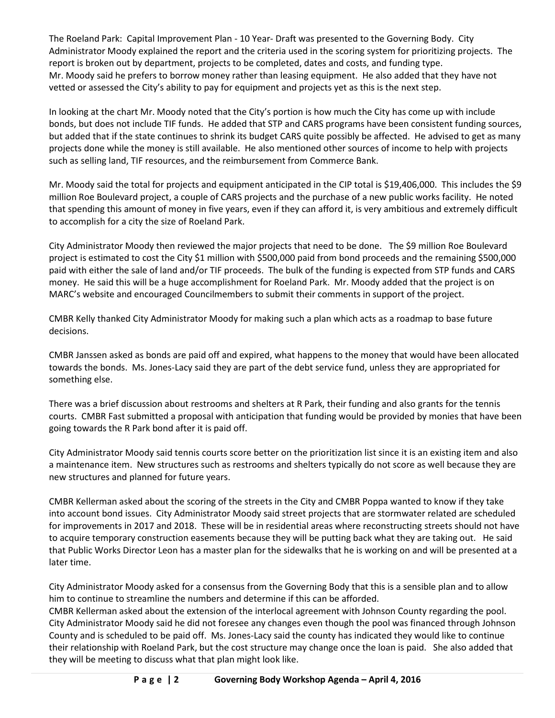The Roeland Park: Capital Improvement Plan - 10 Year- Draft was presented to the Governing Body. City Administrator Moody explained the report and the criteria used in the scoring system for prioritizing projects. The report is broken out by department, projects to be completed, dates and costs, and funding type. Mr. Moody said he prefers to borrow money rather than leasing equipment. He also added that they have not vetted or assessed the City's ability to pay for equipment and projects yet as this is the next step.

In looking at the chart Mr. Moody noted that the City's portion is how much the City has come up with include bonds, but does not include TIF funds. He added that STP and CARS programs have been consistent funding sources, but added that if the state continues to shrink its budget CARS quite possibly be affected. He advised to get as many projects done while the money is still available. He also mentioned other sources of income to help with projects such as selling land, TIF resources, and the reimbursement from Commerce Bank.

Mr. Moody said the total for projects and equipment anticipated in the CIP total is \$19,406,000. This includes the \$9 million Roe Boulevard project, a couple of CARS projects and the purchase of a new public works facility. He noted that spending this amount of money in five years, even if they can afford it, is very ambitious and extremely difficult to accomplish for a city the size of Roeland Park.

City Administrator Moody then reviewed the major projects that need to be done. The \$9 million Roe Boulevard project is estimated to cost the City \$1 million with \$500,000 paid from bond proceeds and the remaining \$500,000 paid with either the sale of land and/or TIF proceeds. The bulk of the funding is expected from STP funds and CARS money. He said this will be a huge accomplishment for Roeland Park. Mr. Moody added that the project is on MARC's website and encouraged Councilmembers to submit their comments in support of the project.

CMBR Kelly thanked City Administrator Moody for making such a plan which acts as a roadmap to base future decisions.

CMBR Janssen asked as bonds are paid off and expired, what happens to the money that would have been allocated towards the bonds. Ms. Jones-Lacy said they are part of the debt service fund, unless they are appropriated for something else.

There was a brief discussion about restrooms and shelters at R Park, their funding and also grants for the tennis courts. CMBR Fast submitted a proposal with anticipation that funding would be provided by monies that have been going towards the R Park bond after it is paid off.

City Administrator Moody said tennis courts score better on the prioritization list since it is an existing item and also a maintenance item. New structures such as restrooms and shelters typically do not score as well because they are new structures and planned for future years.

CMBR Kellerman asked about the scoring of the streets in the City and CMBR Poppa wanted to know if they take into account bond issues. City Administrator Moody said street projects that are stormwater related are scheduled for improvements in 2017 and 2018. These will be in residential areas where reconstructing streets should not have to acquire temporary construction easements because they will be putting back what they are taking out. He said that Public Works Director Leon has a master plan for the sidewalks that he is working on and will be presented at a later time.

City Administrator Moody asked for a consensus from the Governing Body that this is a sensible plan and to allow him to continue to streamline the numbers and determine if this can be afforded.

CMBR Kellerman asked about the extension of the interlocal agreement with Johnson County regarding the pool. City Administrator Moody said he did not foresee any changes even though the pool was financed through Johnson County and is scheduled to be paid off. Ms. Jones-Lacy said the county has indicated they would like to continue their relationship with Roeland Park, but the cost structure may change once the loan is paid. She also added that they will be meeting to discuss what that plan might look like.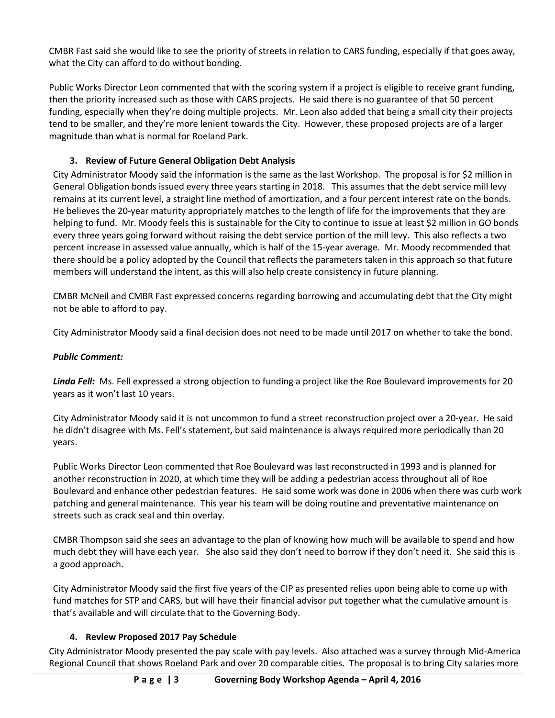CMBR Fast said she would like to see the priority of streets in relation to CARS funding, especially if that goes away, what the City can afford to do without bonding.

Public Works Director Leon commented that with the scoring system if a project is eligible to receive grant funding, then the priority increased such as those with CARS projects. He said there is no guarantee of that 50 percent funding, especially when they're doing multiple projects. Mr. Leon also added that being a small city their projects tend to be smaller, and they're more lenient towards the City. However, these proposed projects are of a larger magnitude than what is normal for Roeland Park.

# **3. Review of Future General Obligation Debt Analysis**

City Administrator Moody said the information is the same as the last Workshop. The proposal is for \$2 million in General Obligation bonds issued every three years starting in 2018. This assumes that the debt service mill levy remains at its current level, a straight line method of amortization, and a four percent interest rate on the bonds. He believes the 20-year maturity appropriately matches to the length of life for the improvements that they are helping to fund. Mr. Moody feels this is sustainable for the City to continue to issue at least \$2 million in GO bonds every three years going forward without raising the debt service portion of the mill levy. This also reflects a two percent increase in assessed value annually, which is half of the 15-year average. Mr. Moody recommended that there should be a policy adopted by the Council that reflects the parameters taken in this approach so that future members will understand the intent, as this will also help create consistency in future planning.

CMBR McNeil and CMBR Fast expressed concerns regarding borrowing and accumulating debt that the City might not be able to afford to pay.

City Administrator Moody said a final decision does not need to be made until 2017 on whether to take the bond.

## *Public Comment:*

*Linda Fell:* Ms. Fell expressed a strong objection to funding a project like the Roe Boulevard improvements for 20 years as it won't last 10 years.

City Administrator Moody said it is not uncommon to fund a street reconstruction project over a 20-year. He said he didn't disagree with Ms. Fell's statement, but said maintenance is always required more periodically than 20 years.

Public Works Director Leon commented that Roe Boulevard was last reconstructed in 1993 and is planned for another reconstruction in 2020, at which time they will be adding a pedestrian access throughout all of Roe Boulevard and enhance other pedestrian features. He said some work was done in 2006 when there was curb work patching and general maintenance. This year his team will be doing routine and preventative maintenance on streets such as crack seal and thin overlay.

CMBR Thompson said she sees an advantage to the plan of knowing how much will be available to spend and how much debt they will have each year. She also said they don't need to borrow if they don't need it. She said this is a good approach.

City Administrator Moody said the first five years of the CIP as presented relies upon being able to come up with fund matches for STP and CARS, but will have their financial advisor put together what the cumulative amount is that's available and will circulate that to the Governing Body.

# **4. Review Proposed 2017 Pay Schedule**

City Administrator Moody presented the pay scale with pay levels. Also attached was a survey through Mid-America Regional Council that shows Roeland Park and over 20 comparable cities. The proposal is to bring City salaries more